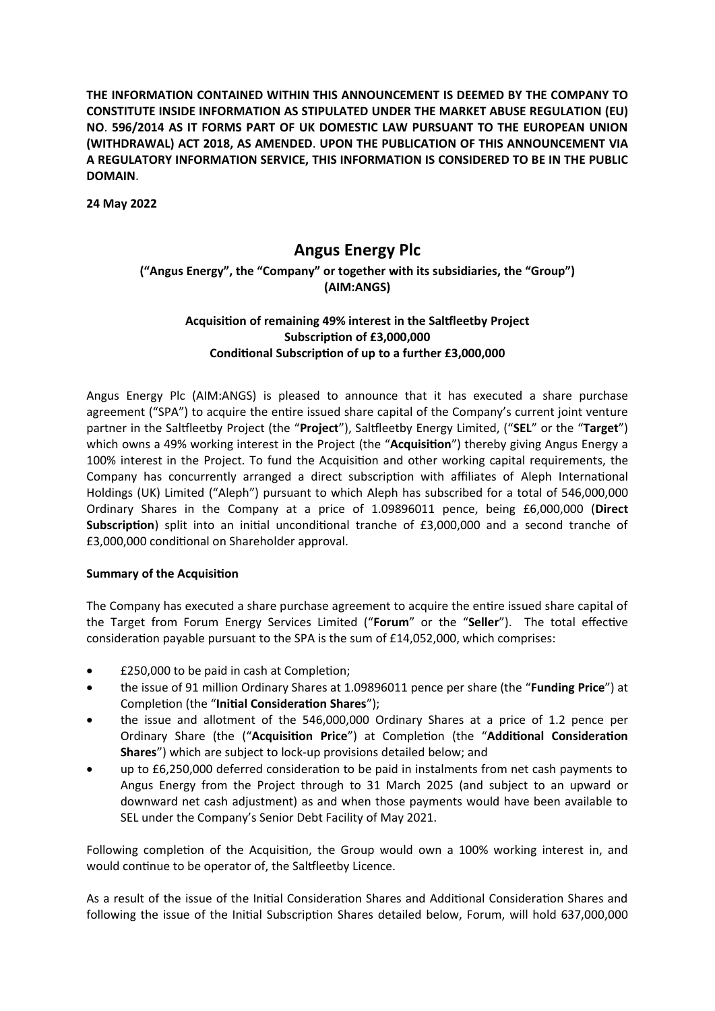**THE INFORMATION CONTAINED WITHIN THIS ANNOUNCEMENT IS DEEMED BY THE COMPANY TO CONSTITUTE INSIDE INFORMATION AS STIPULATED UNDER THE MARKET ABUSE REGULATION (EU) NO**. **596/2014 AS IT FORMS PART OF UK DOMESTIC LAW PURSUANT TO THE EUROPEAN UNION (WITHDRAWAL) ACT 2018, AS AMENDED**. **UPON THE PUBLICATION OF THIS ANNOUNCEMENT VIA A REGULATORY INFORMATION SERVICE, THIS INFORMATION IS CONSIDERED TO BE IN THE PUBLIC DOMAIN**.

**24 May 2022**

# **Angus Energy Plc**

# **("Angus Energy", the "Company" or together with its subsidiaries, the "Group") (AIM:ANGS)**

# **AcquisiƟon of remaining 49% interest in the Salƞleetby Project SubscripƟon of £3,000,000 CondiƟonal SubscripƟon of up to a further £3,000,000**

Angus Energy Plc (AIM:ANGS) is pleased to announce that it has executed a share purchase agreement ("SPA") to acquire the entire issued share capital of the Company's current joint venture partner in the Saltfleetby Project (the "Project"), Saltfleetby Energy Limited, ("SEL" or the "Target") which owns a 49% working interest in the Project (the "**Acquisition**") thereby giving Angus Energy a 100% interest in the Project. To fund the Acquisition and other working capital requirements, the Company has concurrently arranged a direct subscription with affiliates of Aleph International Holdings (UK) Limited ("Aleph") pursuant to which Aleph has subscribed for a total of 546,000,000 Ordinary Shares in the Company at a price of 1.09896011 pence, being £6,000,000 (**Direct Subscription**) split into an initial unconditional tranche of £3,000,000 and a second tranche of £3,000,000 conditional on Shareholder approval.

## **Summary of the Acquisition**

The Company has executed a share purchase agreement to acquire the entire issued share capital of the Target from Forum Energy Services Limited ("Forum" or the "Seller"). The total effective consideration payable pursuant to the SPA is the sum of  $£14,052,000$ , which comprises:

- £250,000 to be paid in cash at Completion;
- the issue of 91 million Ordinary Shares at 1.09896011 pence per share (the "**Funding Price**") at Completion (the "**Initial Consideration Shares**");
- the issue and allotment of the 546,000,000 Ordinary Shares at a price of 1.2 pence per Ordinary Share (the ("**AcquisiƟon Price**") at CompleƟon (the "**AddiƟonal ConsideraƟon Shares**") which are subject to lock-up provisions detailed below; and
- up to £6,250,000 deferred consideration to be paid in instalments from net cash payments to Angus Energy from the Project through to 31 March 2025 (and subject to an upward or downward net cash adjustment) as and when those payments would have been available to SEL under the Company's Senior Debt Facility of May 2021.

Following completion of the Acquisition, the Group would own a 100% working interest in, and would continue to be operator of, the Saltfleetby Licence.

As a result of the issue of the Initial Consideration Shares and Additional Consideration Shares and following the issue of the Initial Subscription Shares detailed below, Forum, will hold 637,000,000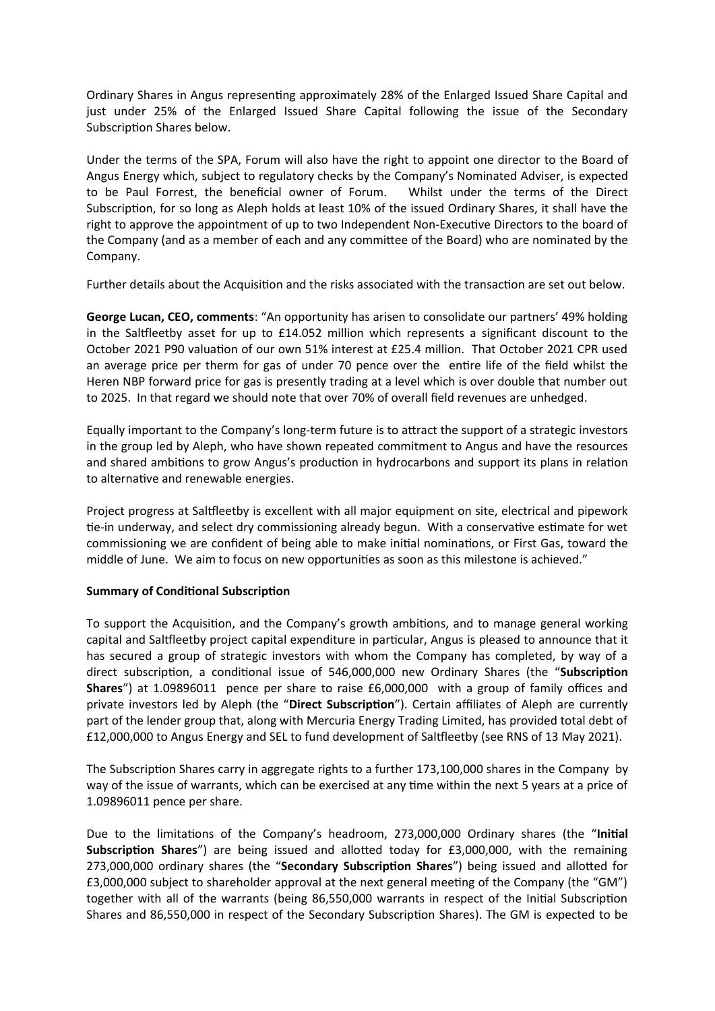Ordinary Shares in Angus representing approximately 28% of the Enlarged Issued Share Capital and just under 25% of the Enlarged Issued Share Capital following the issue of the Secondary Subscription Shares below.

Under the terms of the SPA, Forum will also have the right to appoint one director to the Board of Angus Energy which, subject to regulatory checks by the Company's Nominated Adviser, is expected to be Paul Forrest, the beneficial owner of Forum. Whilst under the terms of the Direct Subscription, for so long as Aleph holds at least 10% of the issued Ordinary Shares, it shall have the right to approve the appointment of up to two Independent Non-Executive Directors to the board of the Company (and as a member of each and any committee of the Board) who are nominated by the Company.

Further details about the Acquisition and the risks associated with the transaction are set out below.

**George Lucan, CEO, comments**: "An opportunity has arisen to consolidate our partners' 49% holding in the Saltfleetby asset for up to £14.052 million which represents a significant discount to the October 2021 P90 valuation of our own 51% interest at £25.4 million. That October 2021 CPR used an average price per therm for gas of under 70 pence over the entire life of the field whilst the Heren NBP forward price for gas is presently trading at a level which is over double that number out to 2025. In that regard we should note that over 70% of overall field revenues are unhedged.

Equally important to the Company's long-term future is to attract the support of a strategic investors in the group led by Aleph, who have shown repeated commitment to Angus and have the resources and shared ambitions to grow Angus's production in hydrocarbons and support its plans in relation to alternative and renewable energies.

Project progress at Saltfleetby is excellent with all major equipment on site, electrical and pipework tie-in underway, and select dry commissioning already begun. With a conservative estimate for wet commissioning we are confident of being able to make initial nominations, or First Gas, toward the middle of June. We aim to focus on new opportunities as soon as this milestone is achieved."

# **Summary of Conditional Subscription**

To support the Acquisition, and the Company's growth ambitions, and to manage general working capital and Saltfleetby project capital expenditure in particular, Angus is pleased to announce that it has secured a group of strategic investors with whom the Company has completed, by way of a direct subscription, a conditional issue of 546,000,000 new Ordinary Shares (the "Subscription **Shares**") at 1.09896011 pence per share to raise £6,000,000 with a group of family offices and private investors led by Aleph (the "Direct Subscription"). Certain affiliates of Aleph are currently part of the lender group that, along with Mercuria Energy Trading Limited, has provided total debt of £12,000,000 to Angus Energy and SEL to fund development of Saltfleetby (see RNS of 13 May 2021).

The Subscription Shares carry in aggregate rights to a further 173,100,000 shares in the Company by way of the issue of warrants, which can be exercised at any time within the next 5 years at a price of 1.09896011 pence per share.

Due to the limitations of the Company's headroom, 273,000,000 Ordinary shares (the "Initial **Subscription Shares")** are being issued and allotted today for £3,000,000, with the remaining 273,000,000 ordinary shares (the "Secondary Subscription Shares") being issued and allotted for £3,000,000 subject to shareholder approval at the next general meeting of the Company (the "GM") together with all of the warrants (being 86,550,000 warrants in respect of the Initial Subscription Shares and 86,550,000 in respect of the Secondary Subscription Shares). The GM is expected to be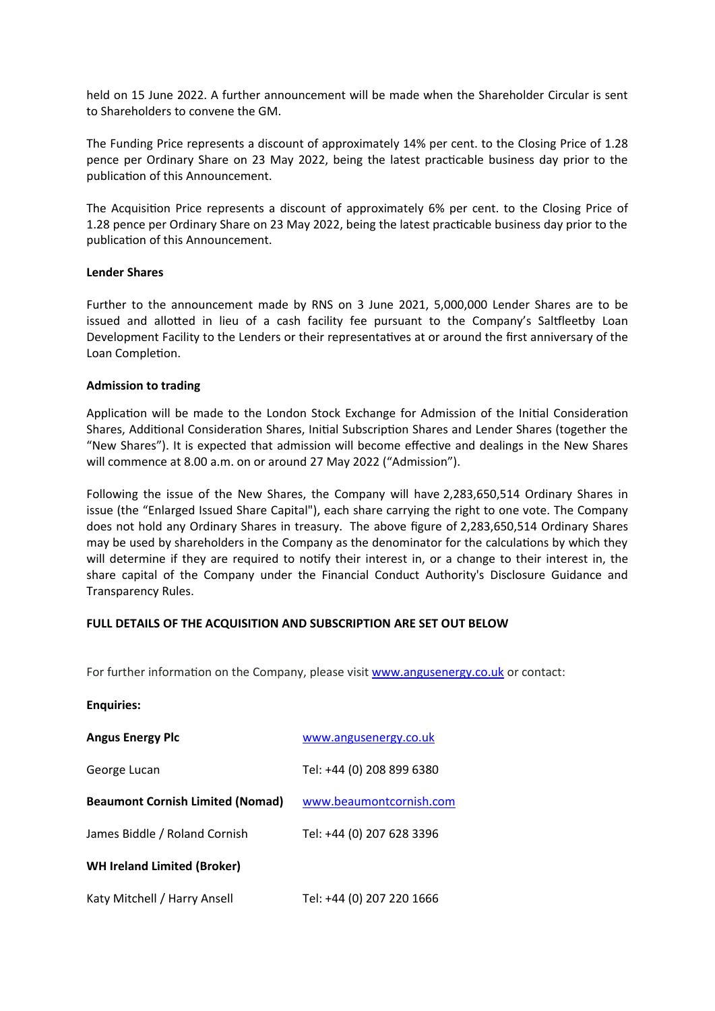held on 15 June 2022. A further announcement will be made when the Shareholder Circular is sent to Shareholders to convene the GM.

The Funding Price represents a discount of approximately 14% per cent. to the Closing Price of 1.28 pence per Ordinary Share on 23 May 2022, being the latest practicable business day prior to the publication of this Announcement.

The Acquisition Price represents a discount of approximately 6% per cent. to the Closing Price of 1.28 pence per Ordinary Share on 23 May 2022, being the latest practicable business day prior to the publication of this Announcement.

#### **Lender Shares**

Further to the announcement made by RNS on 3 June 2021, 5,000,000 Lender Shares are to be issued and allotted in lieu of a cash facility fee pursuant to the Company's Saltfleetby Loan Development Facility to the Lenders or their representatives at or around the first anniversary of the Loan Completion.

#### **Admission to trading**

Application will be made to the London Stock Exchange for Admission of the Initial Consideration Shares, Additional Consideration Shares, Initial Subscription Shares and Lender Shares (together the "New Shares"). It is expected that admission will become effective and dealings in the New Shares will commence at 8.00 a.m. on or around 27 May 2022 ("Admission").

Following the issue of the New Shares, the Company will have 2,283,650,514 Ordinary Shares in issue (the "Enlarged Issued Share Capital"), each share carrying the right to one vote. The Company does not hold any Ordinary Shares in treasury. The above figure of 2,283,650,514 Ordinary Shares may be used by shareholders in the Company as the denominator for the calculations by which they will determine if they are required to notify their interest in, or a change to their interest in, the share capital of the Company under the Financial Conduct Authority's Disclosure Guidance and Transparency Rules.

## **FULL DETAILS OF THE ACQUISITION AND SUBSCRIPTION ARE SET OUT BELOW**

For further information on the Company, please visit www.angusenergy.co.uk or contact:

| <b>Enquiries:</b>                       |                           |
|-----------------------------------------|---------------------------|
| <b>Angus Energy Plc</b>                 | www.angusenergy.co.uk     |
| George Lucan                            | Tel: +44 (0) 208 899 6380 |
| <b>Beaumont Cornish Limited (Nomad)</b> | www.beaumontcornish.com   |
| James Biddle / Roland Cornish           | Tel: +44 (0) 207 628 3396 |
| <b>WH Ireland Limited (Broker)</b>      |                           |
| Katy Mitchell / Harry Ansell            | Tel: +44 (0) 207 220 1666 |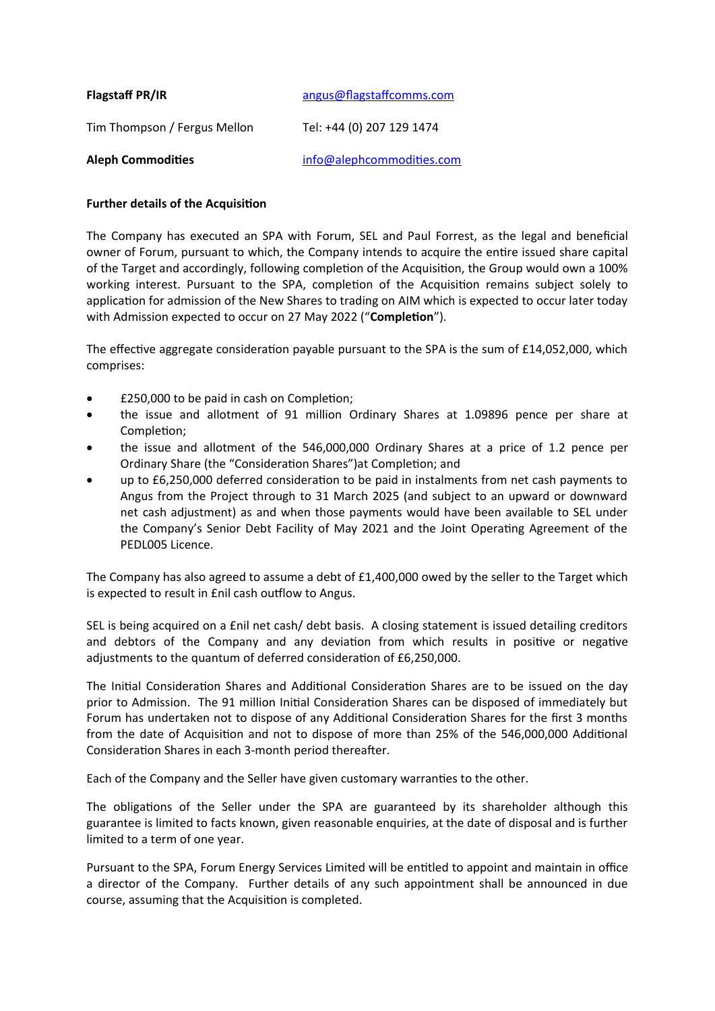| <b>Flagstaff PR/IR</b>       | angus@flagstaffcomms.com  |
|------------------------------|---------------------------|
| Tim Thompson / Fergus Mellon | Tel: +44 (0) 207 129 1474 |
| <b>Aleph Commodities</b>     | info@alephcommodities.com |

# **Further details of the Acquisition**

The Company has executed an SPA with Forum, SEL and Paul Forrest, as the legal and beneficial owner of Forum, pursuant to which, the Company intends to acquire the entire issued share capital of the Target and accordingly, following completion of the Acquisition, the Group would own a 100% working interest. Pursuant to the SPA, completion of the Acquisition remains subject solely to application for admission of the New Shares to trading on AIM which is expected to occur later today with Admission expected to occur on 27 May 2022 ("**Completion**").

The effective aggregate consideration payable pursuant to the SPA is the sum of £14,052,000, which comprises:

- £250,000 to be paid in cash on Completion;
- the issue and allotment of 91 million Ordinary Shares at 1.09896 pence per share at Completion:
- the issue and allotment of the 546,000,000 Ordinary Shares at a price of 1.2 pence per Ordinary Share (the "Consideration Shares") at Completion; and
- up to £6,250,000 deferred consideration to be paid in instalments from net cash payments to Angus from the Project through to 31 March 2025 (and subject to an upward or downward net cash adjustment) as and when those payments would have been available to SEL under the Company's Senior Debt Facility of May 2021 and the Joint Operating Agreement of the PEDL005 Licence.

The Company has also agreed to assume a debt of £1,400,000 owed by the seller to the Target which is expected to result in £nil cash outflow to Angus.

SEL is being acquired on a £nil net cash/ debt basis. A closing statement is issued detailing creditors and debtors of the Company and any deviation from which results in positive or negative adjustments to the quantum of deferred consideration of £6,250,000.

The Initial Consideration Shares and Additional Consideration Shares are to be issued on the day prior to Admission. The 91 million Initial Consideration Shares can be disposed of immediately but Forum has undertaken not to dispose of any Additional Consideration Shares for the first 3 months from the date of Acquisition and not to dispose of more than 25% of the 546,000,000 Additional Consideration Shares in each 3-month period thereafter.

Each of the Company and the Seller have given customary warranties to the other.

The obligations of the Seller under the SPA are guaranteed by its shareholder although this guarantee is limited to facts known, given reasonable enquiries, at the date of disposal and is further limited to a term of one year.

Pursuant to the SPA, Forum Energy Services Limited will be entitled to appoint and maintain in office a director of the Company. Further details of any such appointment shall be announced in due course, assuming that the Acquisition is completed.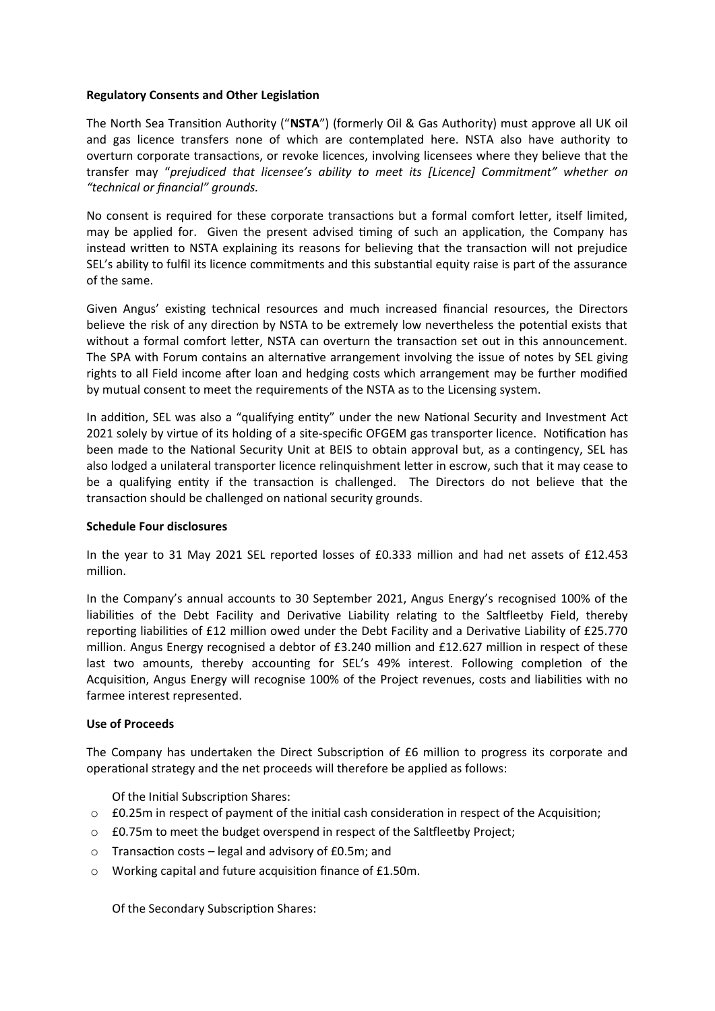### **Regulatory Consents and Other Legislation**

The North Sea Transition Authority ("NSTA") (formerly Oil & Gas Authority) must approve all UK oil and gas licence transfers none of which are contemplated here. NSTA also have authority to overturn corporate transactions, or revoke licences, involving licensees where they believe that the transfer may "*prejudiced that licensee's ability to meet its [Licence] Commitment" whether on "technical or financial" grounds.*

No consent is required for these corporate transactions but a formal comfort letter, itself limited, may be applied for. Given the present advised timing of such an application, the Company has instead written to NSTA explaining its reasons for believing that the transaction will not prejudice SEL's ability to fulfil its licence commitments and this substantial equity raise is part of the assurance of the same.

Given Angus' existing technical resources and much increased financial resources, the Directors believe the risk of any direction by NSTA to be extremely low nevertheless the potential exists that without a formal comfort letter, NSTA can overturn the transaction set out in this announcement. The SPA with Forum contains an alternative arrangement involving the issue of notes by SEL giving rights to all Field income after loan and hedging costs which arrangement may be further modified by mutual consent to meet the requirements of the NSTA as to the Licensing system.

In addition, SEL was also a "qualifying entity" under the new National Security and Investment Act 2021 solely by virtue of its holding of a site-specific OFGEM gas transporter licence. Notification has been made to the National Security Unit at BEIS to obtain approval but, as a contingency, SEL has also lodged a unilateral transporter licence relinquishment letter in escrow, such that it may cease to be a qualifying entity if the transaction is challenged. The Directors do not believe that the transaction should be challenged on national security grounds.

## **Schedule Four disclosures**

In the year to 31 May 2021 SEL reported losses of £0.333 million and had net assets of £12.453 million.

In the Company's annual accounts to 30 September 2021, Angus Energy's recognised 100% of the liabilities of the Debt Facility and Derivative Liability relating to the Saltfleetby Field, thereby reporting liabilities of £12 million owed under the Debt Facility and a Derivative Liability of £25.770 million. Angus Energy recognised a debtor of £3.240 million and £12.627 million in respect of these last two amounts, thereby accounting for SEL's 49% interest. Following completion of the Acquisition, Angus Energy will recognise 100% of the Project revenues, costs and liabilities with no farmee interest represented.

## **Use of Proceeds**

The Company has undertaken the Direct Subscription of £6 million to progress its corporate and operational strategy and the net proceeds will therefore be applied as follows:

Of the Initial Subscription Shares:

- $\circ$  £0.25m in respect of payment of the initial cash consideration in respect of the Acquisition;
- o £0.75m to meet the budget overspend in respect of the Saltfleetby Project;
- $\circ$  Transaction costs legal and advisory of £0.5m; and
- $\circ$  Working capital and future acquisition finance of £1.50m.

Of the Secondary Subscription Shares: